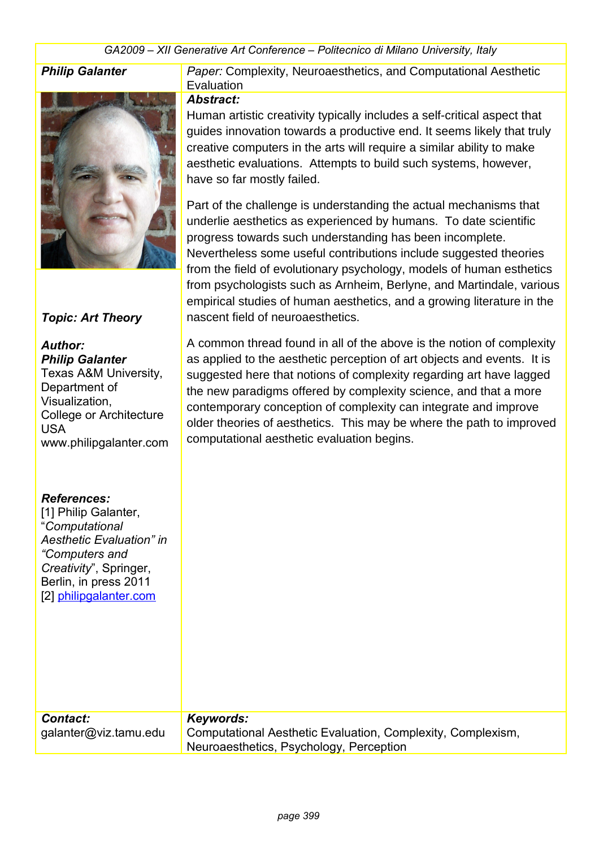*GA2009 – XII Generative Art Conference – Politecnico di Milano University, Italy*



### *Topic: Art Theory*

# *Author:*

*Philip Galanter* Texas A&M University, Department of Visualization, College or Architecture USA www.philipgalanter.com

## *References:* [1] Philip Galanter

**Philip Galanter** *Paper:* Complexity, Neuroaesthetics, and Computational Aesthetic **Evaluation** 

#### *Abstract:*

Human artistic creativity typically includes a self-critical aspect that guides innovation towards a productive end. It seems likely that truly creative computers in the arts will require a similar ability to make aesthetic evaluations. Attempts to build such systems, however, have so far mostly failed.

Part of the challenge is understanding the actual mechanisms that underlie aesthetics as experienced by humans. To date scientific progress towards such understanding has been incomplete. Nevertheless some useful contributions include suggested theories from the field of evolutionary psychology, models of human esthetics from psychologists such as Arnheim, Berlyne, and Martindale, various empirical studies of human aesthetics, and a growing literature in the nascent field of neuroaesthetics.

A common thread found in all of the above is the notion of complexity as applied to the aesthetic perception of art objects and events. It is suggested here that notions of complexity regarding art have lagged the new paradigms offered by complexity science, and that a more contemporary conception of complexity can integrate and improve older theories of aesthetics. This may be where the path to improved computational aesthetic evaluation begins.

| TIT TIMP VAIAHIGI,<br>"Computational<br>Aesthetic Evaluation" in<br>"Computers and<br>Creativity", Springer,<br>Berlin, in press 2011<br>[2] philipgalanter.com |                                                                                                                     |
|-----------------------------------------------------------------------------------------------------------------------------------------------------------------|---------------------------------------------------------------------------------------------------------------------|
| <b>Contact:</b><br>galanter@viz.tamu.edu                                                                                                                        | Keywords:<br>Computational Aesthetic Evaluation, Complexity, Complexism,<br>Neuroaesthetics, Psychology, Perception |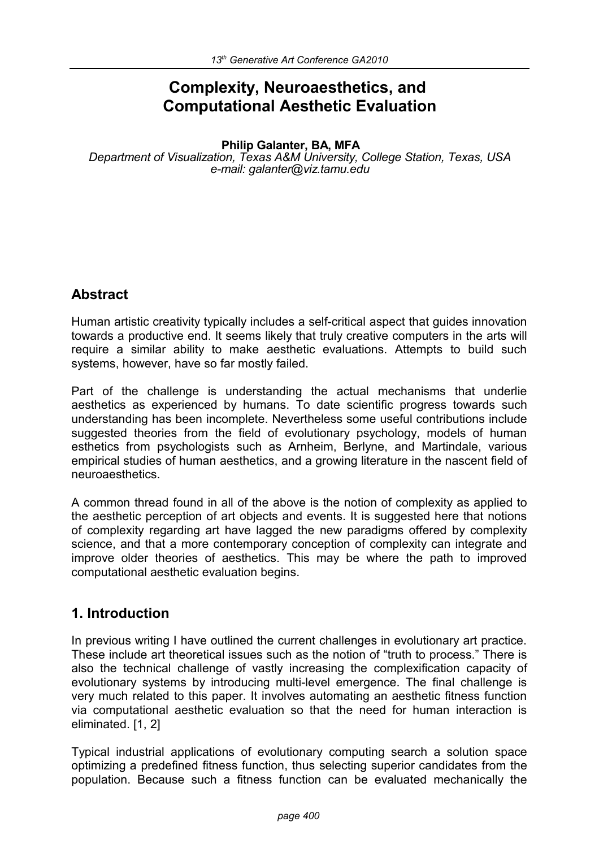# **Complexity, Neuroaesthetics, and Computational Aesthetic Evaluation**

#### **Philip Galanter, BA, MFA**

*Department of Visualization, Texas A&M University, College Station, Texas, USA e-mail: galanter@viz.tamu.edu*

## **Abstract**

Human artistic creativity typically includes a self-critical aspect that guides innovation towards a productive end. It seems likely that truly creative computers in the arts will require a similar ability to make aesthetic evaluations. Attempts to build such systems, however, have so far mostly failed.

Part of the challenge is understanding the actual mechanisms that underlie aesthetics as experienced by humans. To date scientific progress towards such understanding has been incomplete. Nevertheless some useful contributions include suggested theories from the field of evolutionary psychology, models of human esthetics from psychologists such as Arnheim, Berlyne, and Martindale, various empirical studies of human aesthetics, and a growing literature in the nascent field of neuroaesthetics.

A common thread found in all of the above is the notion of complexity as applied to the aesthetic perception of art objects and events. It is suggested here that notions of complexity regarding art have lagged the new paradigms offered by complexity science, and that a more contemporary conception of complexity can integrate and improve older theories of aesthetics. This may be where the path to improved computational aesthetic evaluation begins.

## **1. Introduction**

In previous writing I have outlined the current challenges in evolutionary art practice. These include art theoretical issues such as the notion of "truth to process." There is also the technical challenge of vastly increasing the complexification capacity of evolutionary systems by introducing multi-level emergence. The final challenge is very much related to this paper. It involves automating an aesthetic fitness function via computational aesthetic evaluation so that the need for human interaction is eliminated. [1, 2]

Typical industrial applications of evolutionary computing search a solution space optimizing a predefined fitness function, thus selecting superior candidates from the population. Because such a fitness function can be evaluated mechanically the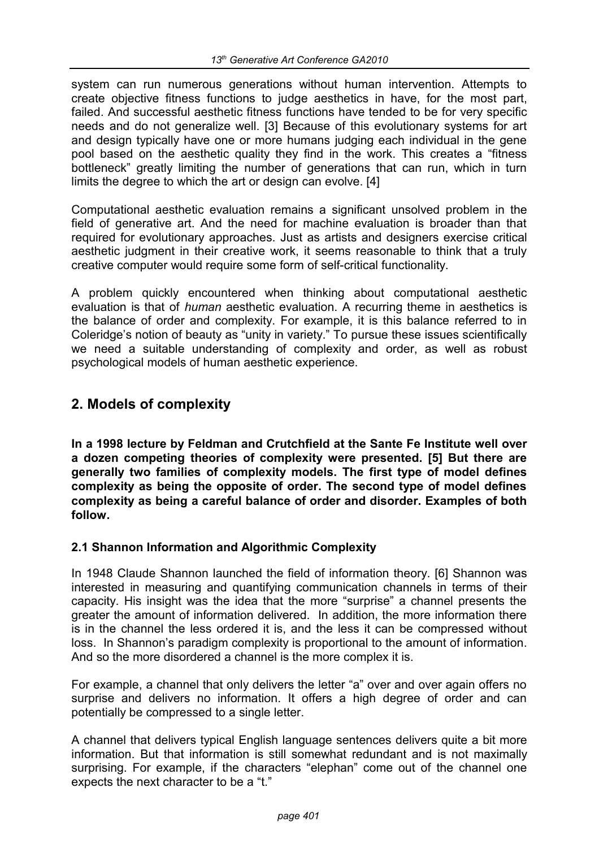system can run numerous generations without human intervention. Attempts to create objective fitness functions to judge aesthetics in have, for the most part, failed. And successful aesthetic fitness functions have tended to be for very specific needs and do not generalize well. [3] Because of this evolutionary systems for art and design typically have one or more humans judging each individual in the gene pool based on the aesthetic quality they find in the work. This creates a "fitness bottleneck" greatly limiting the number of generations that can run, which in turn limits the degree to which the art or design can evolve. [4]

Computational aesthetic evaluation remains a significant unsolved problem in the field of generative art. And the need for machine evaluation is broader than that required for evolutionary approaches. Just as artists and designers exercise critical aesthetic judgment in their creative work, it seems reasonable to think that a truly creative computer would require some form of self-critical functionality.

A problem quickly encountered when thinking about computational aesthetic evaluation is that of *human* aesthetic evaluation. A recurring theme in aesthetics is the balance of order and complexity. For example, it is this balance referred to in Coleridge's notion of beauty as "unity in variety." To pursue these issues scientifically we need a suitable understanding of complexity and order, as well as robust psychological models of human aesthetic experience.

## **2. Models of complexity**

**In a 1998 lecture by Feldman and Crutchfield at the Sante Fe Institute well over a dozen competing theories of complexity were presented. [5] But there are generally two families of complexity models. The first type of model defines complexity as being the opposite of order. The second type of model defines complexity as being a careful balance of order and disorder. Examples of both follow.**

## **2.1 Shannon Information and Algorithmic Complexity**

In 1948 Claude Shannon launched the field of information theory. [6] Shannon was interested in measuring and quantifying communication channels in terms of their capacity. His insight was the idea that the more "surprise" a channel presents the greater the amount of information delivered. In addition, the more information there is in the channel the less ordered it is, and the less it can be compressed without loss. In Shannon's paradigm complexity is proportional to the amount of information. And so the more disordered a channel is the more complex it is.

For example, a channel that only delivers the letter "a" over and over again offers no surprise and delivers no information. It offers a high degree of order and can potentially be compressed to a single letter.

A channel that delivers typical English language sentences delivers quite a bit more information. But that information is still somewhat redundant and is not maximally surprising. For example, if the characters "elephan" come out of the channel one expects the next character to be a "t."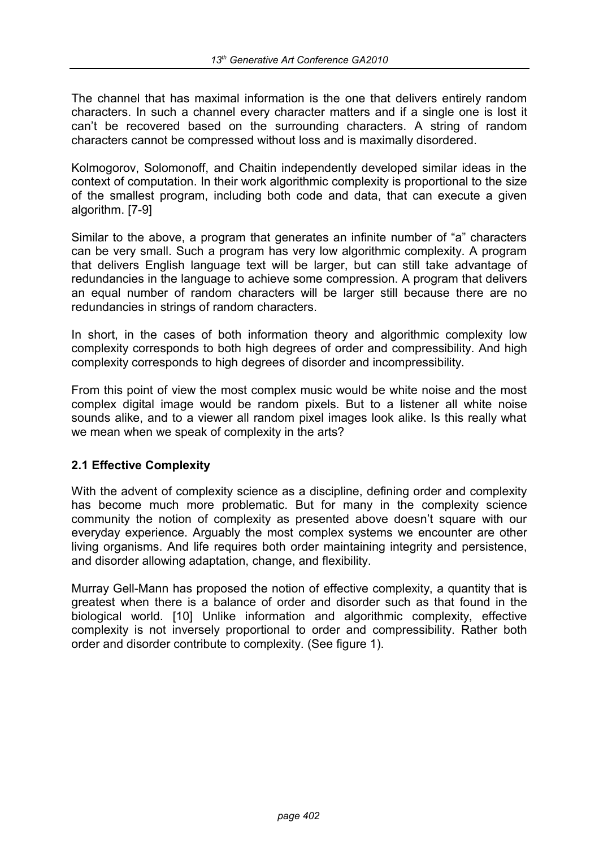The channel that has maximal information is the one that delivers entirely random characters. In such a channel every character matters and if a single one is lost it can't be recovered based on the surrounding characters. A string of random characters cannot be compressed without loss and is maximally disordered.

Kolmogorov, Solomonoff, and Chaitin independently developed similar ideas in the context of computation. In their work algorithmic complexity is proportional to the size of the smallest program, including both code and data, that can execute a given algorithm. [7-9]

Similar to the above, a program that generates an infinite number of "a" characters can be very small. Such a program has very low algorithmic complexity. A program that delivers English language text will be larger, but can still take advantage of redundancies in the language to achieve some compression. A program that delivers an equal number of random characters will be larger still because there are no redundancies in strings of random characters.

In short, in the cases of both information theory and algorithmic complexity low complexity corresponds to both high degrees of order and compressibility. And high complexity corresponds to high degrees of disorder and incompressibility.

From this point of view the most complex music would be white noise and the most complex digital image would be random pixels. But to a listener all white noise sounds alike, and to a viewer all random pixel images look alike. Is this really what we mean when we speak of complexity in the arts?

### **2.1 Effective Complexity**

With the advent of complexity science as a discipline, defining order and complexity has become much more problematic. But for many in the complexity science community the notion of complexity as presented above doesn't square with our everyday experience. Arguably the most complex systems we encounter are other living organisms. And life requires both order maintaining integrity and persistence, and disorder allowing adaptation, change, and flexibility.

Murray Gell-Mann has proposed the notion of effective complexity, a quantity that is greatest when there is a balance of order and disorder such as that found in the biological world. [10] Unlike information and algorithmic complexity, effective complexity is not inversely proportional to order and compressibility. Rather both order and disorder contribute to complexity. (See figure 1).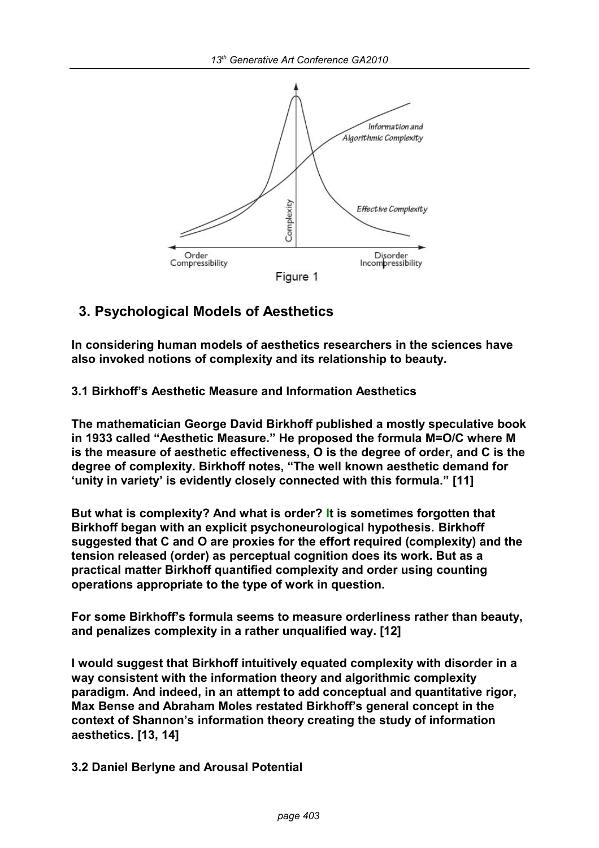

## **3. Psychological Models of Aesthetics**

**In considering human models of aesthetics researchers in the sciences have also invoked notions of complexity and its relationship to beauty.** 

**3.1 Birkhoff's Aesthetic Measure and Information Aesthetics**

**The mathematician George David Birkhoff published a mostly speculative book in 1933 called "Aesthetic Measure." He proposed the formula M=O/C where M is the measure of aesthetic effectiveness, O is the degree of order, and C is the degree of complexity. Birkhoff notes, "The well known aesthetic demand for 'unity in variety' is evidently closely connected with this formula." [11]**

**But what is complexity? And what is order? It is sometimes forgotten that Birkhoff began with an explicit psychoneurological hypothesis. Birkhoff suggested that C and O are proxies for the effort required (complexity) and the tension released (order) as perceptual cognition does its work. But as a practical matter Birkhoff quantified complexity and order using counting operations appropriate to the type of work in question.**

**For some Birkhoff's formula seems to measure orderliness rather than beauty, and penalizes complexity in a rather unqualified way. [12]**

**I would suggest that Birkhoff intuitively equated complexity with disorder in a way consistent with the information theory and algorithmic complexity paradigm. And indeed, in an attempt to add conceptual and quantitative rigor, Max Bense and Abraham Moles restated Birkhoff's general concept in the context of Shannon's information theory creating the study of information aesthetics. [13, 14]**

**3.2 Daniel Berlyne and Arousal Potential**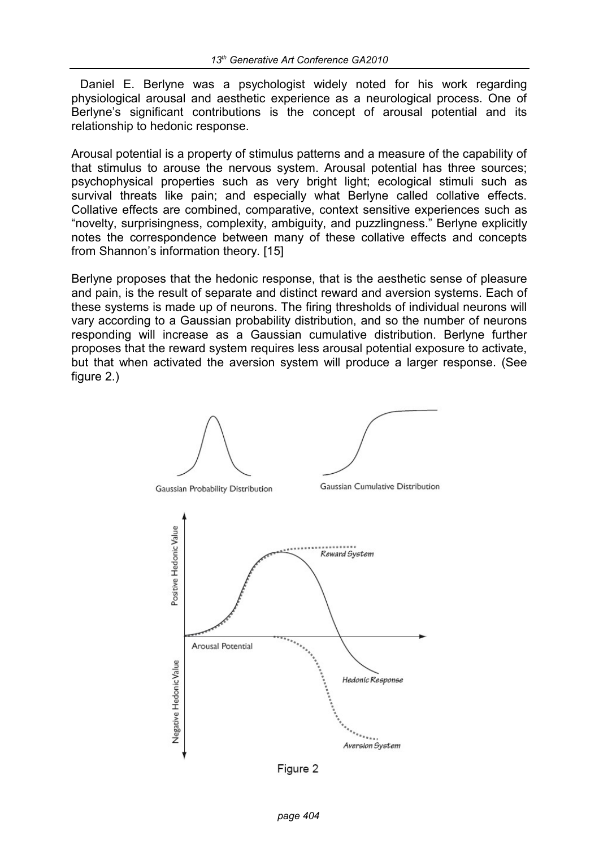Daniel E. Berlyne was a psychologist widely noted for his work regarding physiological arousal and aesthetic experience as a neurological process. One of Berlyne's significant contributions is the concept of arousal potential and its relationship to hedonic response.

Arousal potential is a property of stimulus patterns and a measure of the capability of that stimulus to arouse the nervous system. Arousal potential has three sources; psychophysical properties such as very bright light; ecological stimuli such as survival threats like pain; and especially what Berlyne called collative effects. Collative effects are combined, comparative, context sensitive experiences such as "novelty, surprisingness, complexity, ambiguity, and puzzlingness." Berlyne explicitly notes the correspondence between many of these collative effects and concepts from Shannon's information theory. [15]

Berlyne proposes that the hedonic response, that is the aesthetic sense of pleasure and pain, is the result of separate and distinct reward and aversion systems. Each of these systems is made up of neurons. The firing thresholds of individual neurons will vary according to a Gaussian probability distribution, and so the number of neurons responding will increase as a Gaussian cumulative distribution. Berlyne further proposes that the reward system requires less arousal potential exposure to activate, but that when activated the aversion system will produce a larger response. (See figure 2.)



Figure 2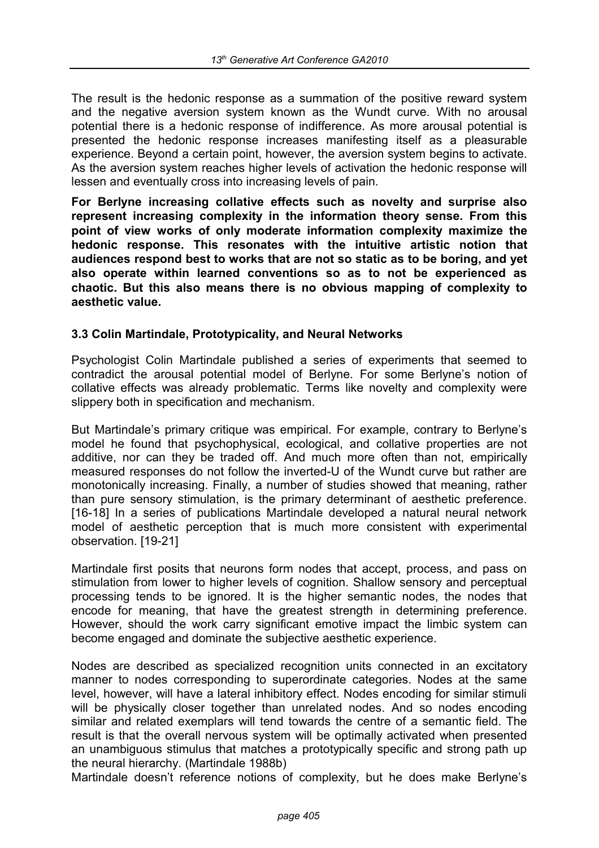The result is the hedonic response as a summation of the positive reward system and the negative aversion system known as the Wundt curve. With no arousal potential there is a hedonic response of indifference. As more arousal potential is presented the hedonic response increases manifesting itself as a pleasurable experience. Beyond a certain point, however, the aversion system begins to activate. As the aversion system reaches higher levels of activation the hedonic response will lessen and eventually cross into increasing levels of pain.

**For Berlyne increasing collative effects such as novelty and surprise also represent increasing complexity in the information theory sense. From this point of view works of only moderate information complexity maximize the hedonic response. This resonates with the intuitive artistic notion that audiences respond best to works that are not so static as to be boring, and yet also operate within learned conventions so as to not be experienced as chaotic. But this also means there is no obvious mapping of complexity to aesthetic value.** 

### **3.3 Colin Martindale, Prototypicality, and Neural Networks**

Psychologist Colin Martindale published a series of experiments that seemed to contradict the arousal potential model of Berlyne. For some Berlyne's notion of collative effects was already problematic. Terms like novelty and complexity were slippery both in specification and mechanism.

But Martindale's primary critique was empirical. For example, contrary to Berlyne's model he found that psychophysical, ecological, and collative properties are not additive, nor can they be traded off. And much more often than not, empirically measured responses do not follow the inverted-U of the Wundt curve but rather are monotonically increasing. Finally, a number of studies showed that meaning, rather than pure sensory stimulation, is the primary determinant of aesthetic preference. [16-18] In a series of publications Martindale developed a natural neural network model of aesthetic perception that is much more consistent with experimental observation. [19-21]

Martindale first posits that neurons form nodes that accept, process, and pass on stimulation from lower to higher levels of cognition. Shallow sensory and perceptual processing tends to be ignored. It is the higher semantic nodes, the nodes that encode for meaning, that have the greatest strength in determining preference. However, should the work carry significant emotive impact the limbic system can become engaged and dominate the subjective aesthetic experience.

Nodes are described as specialized recognition units connected in an excitatory manner to nodes corresponding to superordinate categories. Nodes at the same level, however, will have a lateral inhibitory effect. Nodes encoding for similar stimuli will be physically closer together than unrelated nodes. And so nodes encoding similar and related exemplars will tend towards the centre of a semantic field. The result is that the overall nervous system will be optimally activated when presented an unambiguous stimulus that matches a prototypically specific and strong path up the neural hierarchy. (Martindale 1988b)

Martindale doesn't reference notions of complexity, but he does make Berlyne's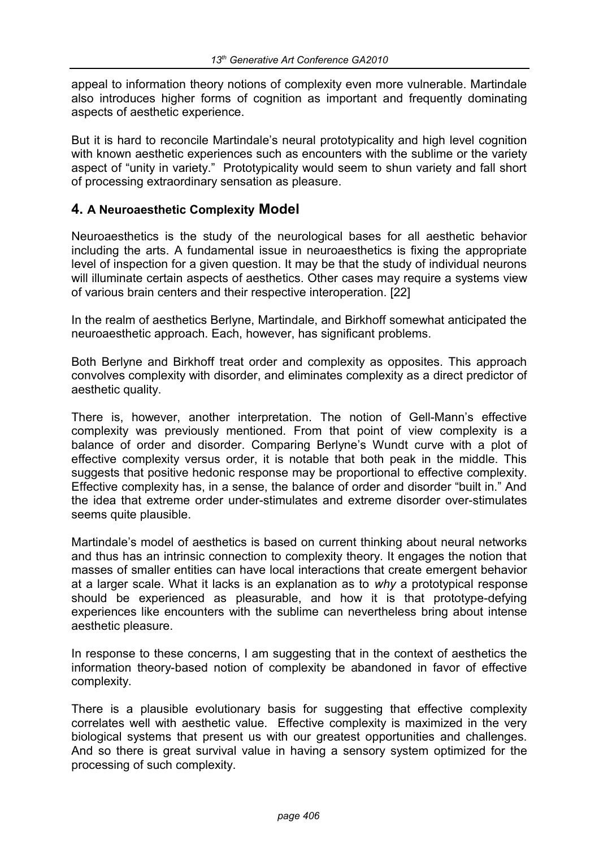appeal to information theory notions of complexity even more vulnerable. Martindale also introduces higher forms of cognition as important and frequently dominating aspects of aesthetic experience.

But it is hard to reconcile Martindale's neural prototypicality and high level cognition with known aesthetic experiences such as encounters with the sublime or the variety aspect of "unity in variety." Prototypicality would seem to shun variety and fall short of processing extraordinary sensation as pleasure.

## **4. A Neuroaesthetic Complexity Model**

Neuroaesthetics is the study of the neurological bases for all aesthetic behavior including the arts. A fundamental issue in neuroaesthetics is fixing the appropriate level of inspection for a given question. It may be that the study of individual neurons will illuminate certain aspects of aesthetics. Other cases may require a systems view of various brain centers and their respective interoperation. [22]

In the realm of aesthetics Berlyne, Martindale, and Birkhoff somewhat anticipated the neuroaesthetic approach. Each, however, has significant problems.

Both Berlyne and Birkhoff treat order and complexity as opposites. This approach convolves complexity with disorder, and eliminates complexity as a direct predictor of aesthetic quality.

There is, however, another interpretation. The notion of Gell-Mann's effective complexity was previously mentioned. From that point of view complexity is a balance of order and disorder. Comparing Berlyne's Wundt curve with a plot of effective complexity versus order, it is notable that both peak in the middle. This suggests that positive hedonic response may be proportional to effective complexity. Effective complexity has, in a sense, the balance of order and disorder "built in." And the idea that extreme order under-stimulates and extreme disorder over-stimulates seems quite plausible.

Martindale's model of aesthetics is based on current thinking about neural networks and thus has an intrinsic connection to complexity theory. It engages the notion that masses of smaller entities can have local interactions that create emergent behavior at a larger scale. What it lacks is an explanation as to *why* a prototypical response should be experienced as pleasurable, and how it is that prototype-defying experiences like encounters with the sublime can nevertheless bring about intense aesthetic pleasure.

In response to these concerns, I am suggesting that in the context of aesthetics the information theory-based notion of complexity be abandoned in favor of effective complexity.

There is a plausible evolutionary basis for suggesting that effective complexity correlates well with aesthetic value. Effective complexity is maximized in the very biological systems that present us with our greatest opportunities and challenges. And so there is great survival value in having a sensory system optimized for the processing of such complexity.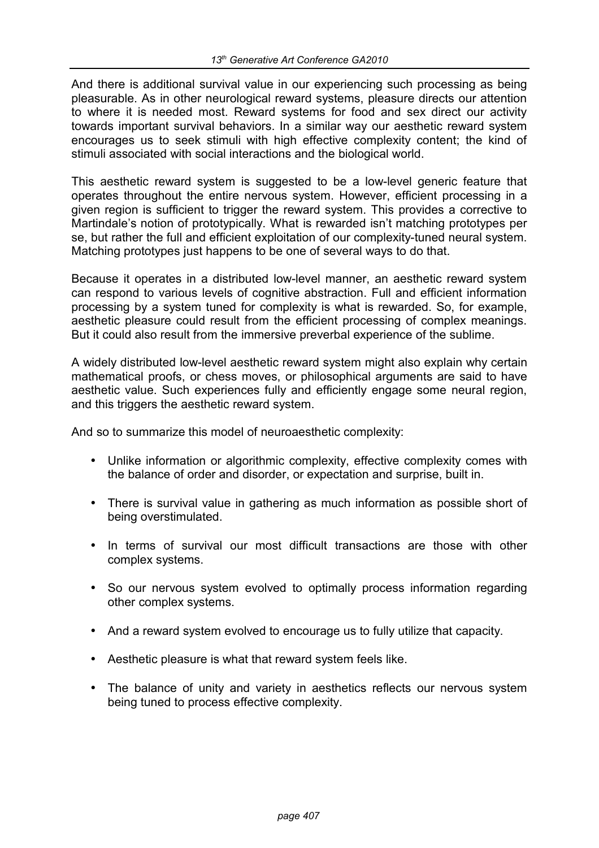And there is additional survival value in our experiencing such processing as being pleasurable. As in other neurological reward systems, pleasure directs our attention to where it is needed most. Reward systems for food and sex direct our activity towards important survival behaviors. In a similar way our aesthetic reward system encourages us to seek stimuli with high effective complexity content; the kind of stimuli associated with social interactions and the biological world.

This aesthetic reward system is suggested to be a low-level generic feature that operates throughout the entire nervous system. However, efficient processing in a given region is sufficient to trigger the reward system. This provides a corrective to Martindale's notion of prototypically. What is rewarded isn't matching prototypes per se, but rather the full and efficient exploitation of our complexity-tuned neural system. Matching prototypes just happens to be one of several ways to do that.

Because it operates in a distributed low-level manner, an aesthetic reward system can respond to various levels of cognitive abstraction. Full and efficient information processing by a system tuned for complexity is what is rewarded. So, for example, aesthetic pleasure could result from the efficient processing of complex meanings. But it could also result from the immersive preverbal experience of the sublime.

A widely distributed low-level aesthetic reward system might also explain why certain mathematical proofs, or chess moves, or philosophical arguments are said to have aesthetic value. Such experiences fully and efficiently engage some neural region, and this triggers the aesthetic reward system.

And so to summarize this model of neuroaesthetic complexity:

- Unlike information or algorithmic complexity, effective complexity comes with the balance of order and disorder, or expectation and surprise, built in.
- There is survival value in gathering as much information as possible short of being overstimulated.
- In terms of survival our most difficult transactions are those with other complex systems.
- So our nervous system evolved to optimally process information regarding other complex systems.
- And a reward system evolved to encourage us to fully utilize that capacity.
- Aesthetic pleasure is what that reward system feels like.
- The balance of unity and variety in aesthetics reflects our nervous system being tuned to process effective complexity.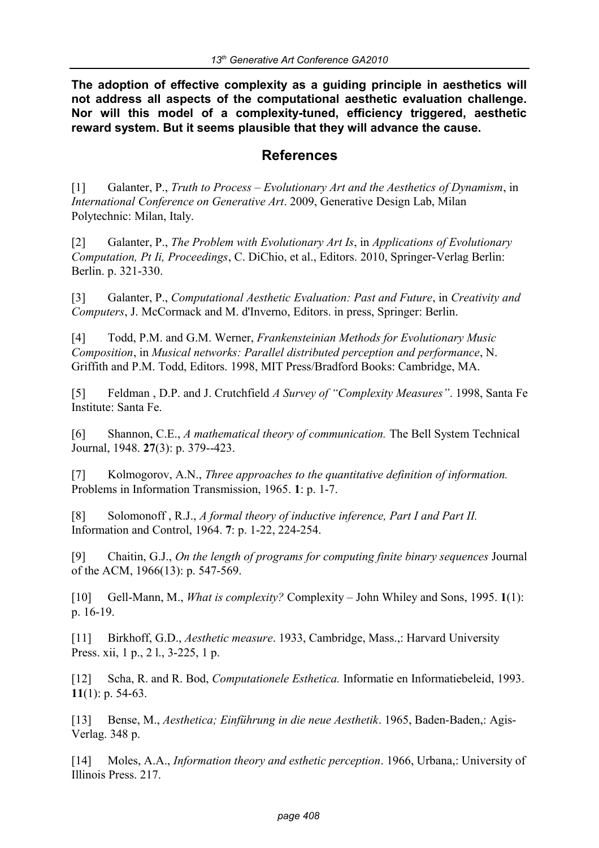**The adoption of effective complexity as a guiding principle in aesthetics will not address all aspects of the computational aesthetic evaluation challenge. Nor will this model of a complexity-tuned, efficiency triggered, aesthetic reward system. But it seems plausible that they will advance the cause.**

## **References**

[1] Galanter, P., *Truth to Process – Evolutionary Art and the Aesthetics of Dynamism*, in *International Conference on Generative Art*. 2009, Generative Design Lab, Milan Polytechnic: Milan, Italy.

[2] Galanter, P., *The Problem with Evolutionary Art Is*, in *Applications of Evolutionary Computation, Pt Ii, Proceedings*, C. DiChio, et al., Editors. 2010, Springer-Verlag Berlin: Berlin. p. 321-330.

[3] Galanter, P., *Computational Aesthetic Evaluation: Past and Future*, in *Creativity and Computers*, J. McCormack and M. d'Inverno, Editors. in press, Springer: Berlin.

[4] Todd, P.M. and G.M. Werner, *Frankensteinian Methods for Evolutionary Music Composition*, in *Musical networks: Parallel distributed perception and performance*, N. Griffith and P.M. Todd, Editors. 1998, MIT Press/Bradford Books: Cambridge, MA.

[5] Feldman , D.P. and J. Crutchfield *A Survey of "Complexity Measures"*. 1998, Santa Fe Institute: Santa Fe.

[6] Shannon, C.E., *A mathematical theory of communication.* The Bell System Technical Journal, 1948. **27**(3): p. 379--423.

[7] Kolmogorov, A.N., *Three approaches to the quantitative definition of information.*  Problems in Information Transmission, 1965. **1**: p. 1-7.

[8] Solomonoff , R.J., *A formal theory of inductive inference, Part I and Part II.*  Information and Control, 1964. **7**: p. 1-22, 224-254.

[9] Chaitin, G.J., *On the length of programs for computing finite binary sequences* Journal of the ACM, 1966(13): p. 547-569.

[10] Gell-Mann, M., *What is complexity?* Complexity – John Whiley and Sons, 1995. **1**(1): p. 16-19.

[11] Birkhoff, G.D., *Aesthetic measure*. 1933, Cambridge, Mass.,: Harvard University Press. xii, 1 p., 2 l., 3-225, 1 p.

[12] Scha, R. and R. Bod, *Computationele Esthetica.* Informatie en Informatiebeleid, 1993. **11**(1): p. 54-63.

[13] Bense, M., *Aesthetica; Einführung in die neue Aesthetik*. 1965, Baden-Baden,: Agis-Verlag. 348 p.

[14] Moles, A.A., *Information theory and esthetic perception*. 1966, Urbana,: University of Illinois Press. 217.